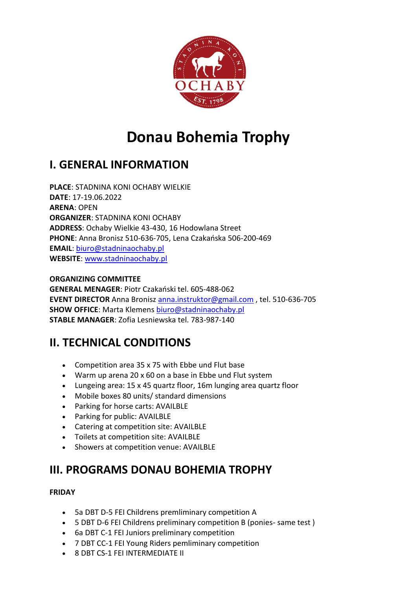

# **Donau Bohemia Trophy**

# **I. GENERAL INFORMATION**

**PLACE**: STADNINA KONI OCHABY WIELKIE **DATE**: 17-19.06.2022 **ARENA**: OPEN **ORGANIZER**: STADNINA KONI OCHABY **ADDRESS**: Ochaby Wielkie 43-430, 16 Hodowlana Street **PHONE**: Anna Bronisz 510-636-705, Lena Czakańska 506-200-469 **EMAIL**: [biuro@stadninaochaby.pl](mailto:biuro@stadninaochaby.pl) **WEBSITE**: [www.stadninaochaby.pl](http://www.stadninaochaby.pl/)

#### **ORGANIZING COMMITTEE**

**GENERAL MENAGER**: Piotr Czakański tel. 605-488-062 **EVENT DIRECTOR** Anna Bronis[z anna.instruktor@gmail.com](mailto:anna.instruktor@gmail.com) , tel. 510-636-705 **SHOW OFFICE**: Marta Klemens [biuro@stadninaochaby.pl](mailto:biuro@stadninaochaby.pl) **STABLE MANAGER**: Zofia Lesniewska tel. 783-987-140

# **II. TECHNICAL CONDITIONS**

- Competition area 35 x 75 with Ebbe und Flut base
- Warm up arena 20 x 60 on a base in Ebbe und Flut system
- Lungeing area: 15 x 45 quartz floor, 16m lunging area quartz floor
- Mobile boxes 80 units/ standard dimensions
- Parking for horse carts: AVAILBLE
- Parking for public: AVAILBLE
- Catering at competition site: AVAILBLE
- Toilets at competition site: AVAILBLE
- Showers at competition venue: AVAILBLE

# **III. PROGRAMS DONAU BOHEMIA TROPHY**

#### **FRIDAY**

- 5a DBT D-5 FEI Childrens premliminary competition A
- 5 DBT D-6 FEI Childrens preliminary competition B (ponies- same test )
- 6a DBT C-1 FEI Juniors preliminary competition
- 7 DBT CC-1 FEI Young Riders pemliminary competition
- 8 DBT CS-1 FEI INTERMEDIATE II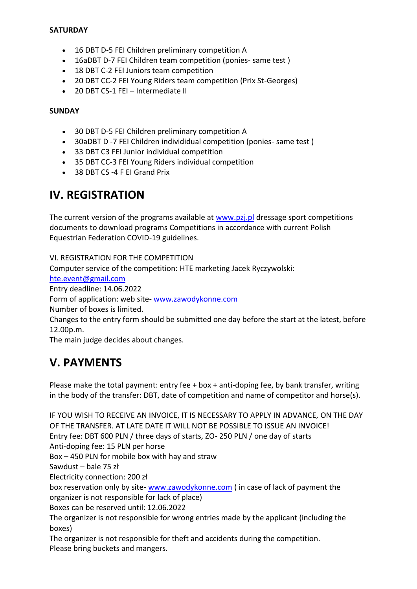#### **SATURDAY**

- 16 DBT D-5 FEI Children preliminary competition A
- 16aDBT D-7 FEI Children team competition (ponies- same test )
- 18 DBT C-2 FEI Juniors team competition
- 20 DBT CC-2 FEI Young Riders team competition (Prix St-Georges)
- 20 DBT CS-1 FEI Intermediate II

#### **SUNDAY**

- 30 DBT D-5 FEI Children preliminary competition A
- 30aDBT D -7 FEI Children individidual competition (ponies- same test )
- 33 DBT C3 FEI Junior individual competition
- 35 DBT CC-3 FEI Young Riders individual competition
- 38 DBT CS -4 F EI Grand Prix

## **IV. REGISTRATION**

The current version of the programs available at [www.pzj.pl](http://www.pzj.pl/) dressage sport competitions documents to download programs Competitions in accordance with current Polish Equestrian Federation COVID-19 guidelines.

VI. REGISTRATION FOR THE COMPETITION Computer service of the competition: HTE marketing Jacek Ryczywolski: [hte.event@gmail.com](mailto:hte.event@gmail.com) Entry deadline: 14.06.2022 Form of application: web site- [www.zawodykonne.com](http://www.zawodykonne.com/) Number of boxes is limited. Changes to the entry form should be submitted one day before the start at the latest, before 12.00p.m. The main judge decides about changes.

### **V. PAYMENTS**

Please make the total payment: entry fee + box + anti-doping fee, by bank transfer, writing in the body of the transfer: DBT, date of competition and name of competitor and horse(s).

IF YOU WISH TO RECEIVE AN INVOICE, IT IS NECESSARY TO APPLY IN ADVANCE, ON THE DAY OF THE TRANSFER. AT LATE DATE IT WILL NOT BE POSSIBLE TO ISSUE AN INVOICE! Entry fee: DBT 600 PLN / three days of starts, ZO- 250 PLN / one day of starts Anti-doping fee: 15 PLN per horse Box – 450 PLN for mobile box with hay and straw Sawdust – bale 75 zł Electricity connection: 200 zł box reservation only by site- [www.zawodykonne.com](http://www.zawodykonne.com/) ( in case of lack of payment the organizer is not responsible for lack of place) Boxes can be reserved until: 12.06.2022 The organizer is not responsible for wrong entries made by the applicant (including the boxes) The organizer is not responsible for theft and accidents during the competition.

Please bring buckets and mangers.